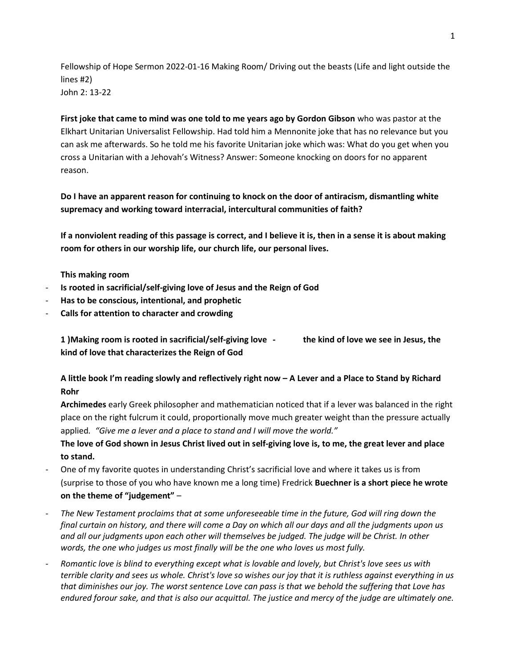Fellowship of Hope Sermon 2022-01-16 Making Room/ Driving out the beasts (Life and light outside the lines #2) John 2: 13-22

First joke that came to mind was one told to me years ago by Gordon Gibson who was pastor at the Elkhart Unitarian Universalist Fellowship. Had told him a Mennonite joke that has no relevance but you can ask me afterwards. So he told me his favorite Unitarian joke which was: What do you get when you cross a Unitarian with a Jehovah's Witness? Answer: Someone knocking on doors for no apparent reason.

Do I have an apparent reason for continuing to knock on the door of antiracism, dismantling white supremacy and working toward interracial, intercultural communities of faith?

If a nonviolent reading of this passage is correct, and I believe it is, then in a sense it is about making room for others in our worship life, our church life, our personal lives.

This making room

- Is rooted in sacrificial/self-giving love of Jesus and the Reign of God
- Has to be conscious, intentional, and prophetic
- Calls for attention to character and crowding

1 )Making room is rooted in sacrificial/self-giving love - the kind of love we see in Jesus, the kind of love that characterizes the Reign of God

A little book I'm reading slowly and reflectively right now – A Lever and a Place to Stand by Richard Rohr

Archimedes early Greek philosopher and mathematician noticed that if a lever was balanced in the right place on the right fulcrum it could, proportionally move much greater weight than the pressure actually applied. "Give me a lever and a place to stand and I will move the world."

The love of God shown in Jesus Christ lived out in self-giving love is, to me, the great lever and place to stand.

- One of my favorite quotes in understanding Christ's sacrificial love and where it takes us is from (surprise to those of you who have known me a long time) Fredrick Buechner is a short piece he wrote on the theme of "judgement" –
- The New Testament proclaims that at some unforeseeable time in the future, God will ring down the final curtain on history, and there will come a Day on which all our days and all the judgments upon us and all our judgments upon each other will themselves be judged. The judge will be Christ. In other words, the one who judges us most finally will be the one who loves us most fully.
- Romantic love is blind to everything except what is lovable and lovely, but Christ's love sees us with terrible clarity and sees us whole. Christ's love so wishes our joy that it is ruthless against everything in us that diminishes our joy. The worst sentence Love can pass is that we behold the suffering that Love has endured forour sake, and that is also our acquittal. The justice and mercy of the judge are ultimately one.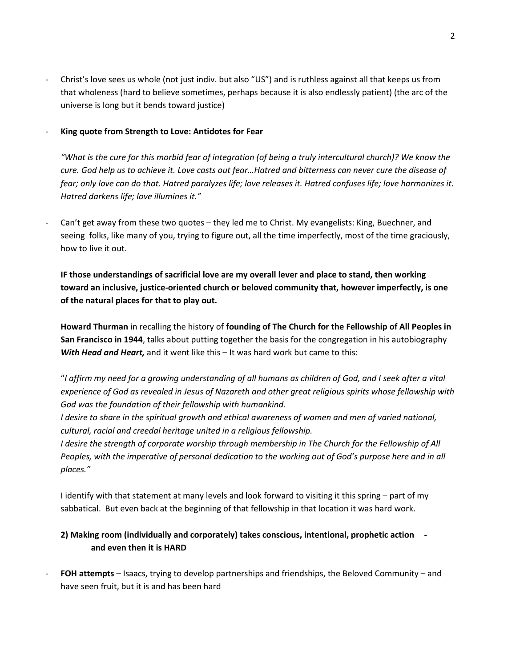- Christ's love sees us whole (not just indiv. but also "US") and is ruthless against all that keeps us from that wholeness (hard to believe sometimes, perhaps because it is also endlessly patient) (the arc of the universe is long but it bends toward justice)
- King quote from Strength to Love: Antidotes for Fear

"What is the cure for this morbid fear of integration (of being a truly intercultural church)? We know the cure. God help us to achieve it. Love casts out fear…Hatred and bitterness can never cure the disease of fear; only love can do that. Hatred paralyzes life; love releases it. Hatred confuses life; love harmonizes it. Hatred darkens life; love illumines it."

Can't get away from these two quotes - they led me to Christ. My evangelists: King, Buechner, and seeing folks, like many of you, trying to figure out, all the time imperfectly, most of the time graciously, how to live it out.

IF those understandings of sacrificial love are my overall lever and place to stand, then working toward an inclusive, justice-oriented church or beloved community that, however imperfectly, is one of the natural places for that to play out.

Howard Thurman in recalling the history of founding of The Church for the Fellowship of All Peoples in San Francisco in 1944, talks about putting together the basis for the congregation in his autobiography With Head and Heart, and it went like this - It was hard work but came to this:

"I affirm my need for a growing understanding of all humans as children of God, and I seek after a vital experience of God as revealed in Jesus of Nazareth and other great religious spirits whose fellowship with God was the foundation of their fellowship with humankind.

I desire to share in the spiritual growth and ethical awareness of women and men of varied national, cultural, racial and creedal heritage united in a religious fellowship.

I desire the strength of corporate worship through membership in The Church for the Fellowship of All Peoples, with the imperative of personal dedication to the working out of God's purpose here and in all places."

I identify with that statement at many levels and look forward to visiting it this spring – part of my sabbatical. But even back at the beginning of that fellowship in that location it was hard work.

## 2) Making room (individually and corporately) takes conscious, intentional, prophetic action and even then it is HARD

FOH attempts – Isaacs, trying to develop partnerships and friendships, the Beloved Community – and have seen fruit, but it is and has been hard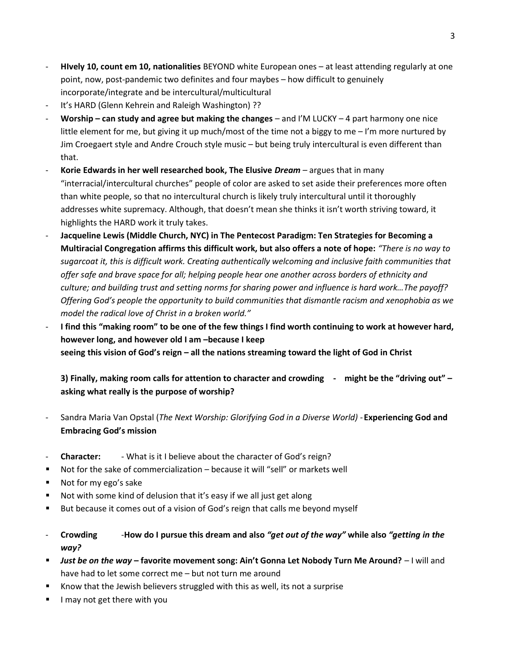- Hively 10, count em 10, nationalities BEYOND white European ones at least attending regularly at one point, now, post-pandemic two definites and four maybes – how difficult to genuinely incorporate/integrate and be intercultural/multicultural
- It's HARD (Glenn Kehrein and Raleigh Washington) ??
- Worship can study and agree but making the changes and I'M LUCKY 4 part harmony one nice little element for me, but giving it up much/most of the time not a biggy to me - I'm more nurtured by Jim Croegaert style and Andre Crouch style music – but being truly intercultural is even different than that.
- Korie Edwards in her well researched book, The Elusive  $Dream$  argues that in many "interracial/intercultural churches" people of color are asked to set aside their preferences more often than white people, so that no intercultural church is likely truly intercultural until it thoroughly addresses white supremacy. Although, that doesn't mean she thinks it isn't worth striving toward, it highlights the HARD work it truly takes.
- Jacqueline Lewis (Middle Church, NYC) in The Pentecost Paradigm: Ten Strategies for Becoming a Multiracial Congregation affirms this difficult work, but also offers a note of hope: "There is no way to sugarcoat it, this is difficult work. Creating authentically welcoming and inclusive faith communities that offer safe and brave space for all; helping people hear one another across borders of ethnicity and culture; and building trust and setting norms for sharing power and influence is hard work…The payoff? Offering God's people the opportunity to build communities that dismantle racism and xenophobia as we model the radical love of Christ in a broken world."
- I find this "making room" to be one of the few things I find worth continuing to work at however hard, however long, and however old I am –because I keep seeing this vision of God's reign – all the nations streaming toward the light of God in Christ

3) Finally, making room calls for attention to character and crowding - might be the "driving out" – asking what really is the purpose of worship?

- Sandra Maria Van Opstal (The Next Worship: Glorifying God in a Diverse World) Experiencing God and Embracing God's mission
- **Character:** What is it I believe about the character of God's reign?
- Not for the sake of commercialization because it will "sell" or markets well
- Not for my ego's sake
- Not with some kind of delusion that it's easy if we all just get along
- But because it comes out of a vision of God's reign that calls me beyond myself
- Crowding -How do I pursue this dream and also "get out of the way" while also "getting in the way?
- Just be on the way favorite movement song: Ain't Gonna Let Nobody Turn Me Around? I will and have had to let some correct me – but not turn me around
- Know that the Jewish believers struggled with this as well, its not a surprise
- I may not get there with you